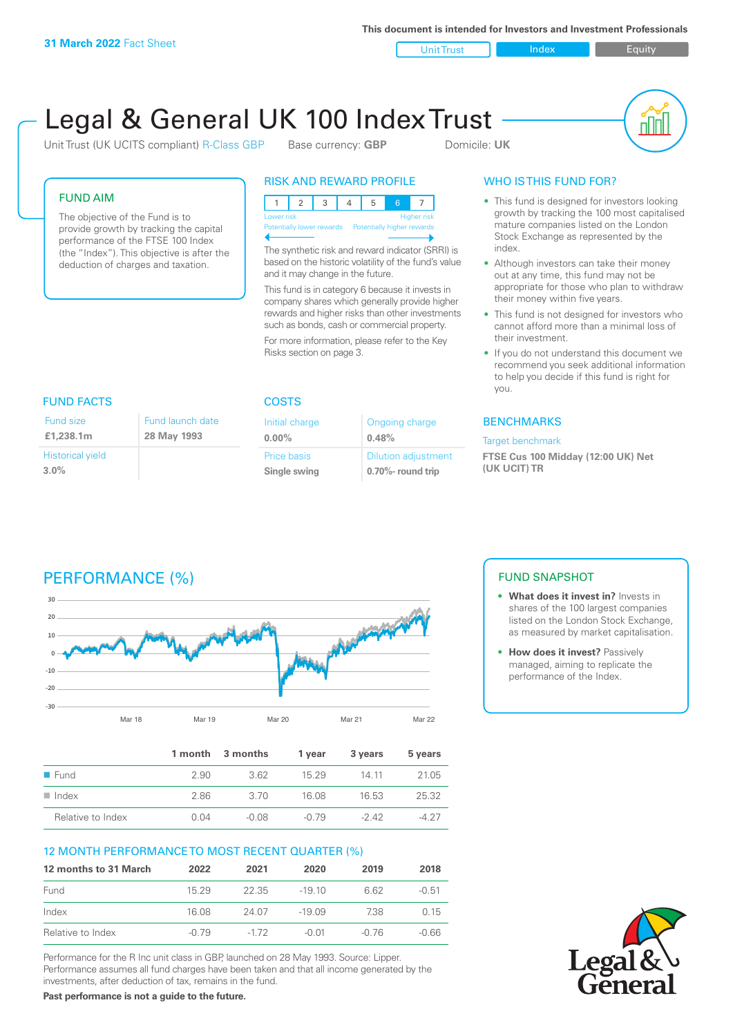**This document is intended for Investors and Investment Professionals**

Unit Trust **Index** Index Equity

# Legal & General UK 100 Index Trust

Unit Trust (UK UCITS compliant) R-Class GBP Base currency: **GBP** Domicile: UK



#### FUND AIM

The objective of the Fund is to provide growth by tracking the capital performance of the FTSE 100 Index (the "Index"). This objective is after the deduction of charges and taxation.

#### RISK AND REWARD PROFILE

| Lower risk                                           |  |  |  |  | <b>Higher risk</b> |
|------------------------------------------------------|--|--|--|--|--------------------|
| Potentially lower rewards Potentially higher rewards |  |  |  |  |                    |
|                                                      |  |  |  |  |                    |

The synthetic risk and reward indicator (SRRI) is based on the historic volatility of the fund's value and it may change in the future.

This fund is in category 6 because it invests in company shares which generally provide higher rewards and higher risks than other investments such as bonds, cash or commercial property.

For more information, please refer to the Key Risks section on page 3.

### WHO IS THIS FUND FOR?

- This fund is designed for investors looking growth by tracking the 100 most capitalised mature companies listed on the London Stock Exchange as represented by the index.
- Although investors can take their money out at any time, this fund may not be appropriate for those who plan to withdraw their money within five years.
- This fund is not designed for investors who cannot afford more than a minimal loss of their investment.
- If you do not understand this document we recommend you seek additional information to help you decide if this fund is right for you.

#### **BENCHMARKS**

#### Target benchmark

**FTSE Cus 100 Midday (12:00 UK) Net (UK UCIT) TR**

### FUND FACTS COSTS

| Fund size               | Fund launch date |
|-------------------------|------------------|
| £1,238.1m               | 28 May 1993      |
| <b>Historical yield</b> |                  |
| $3.0\%$                 |                  |

| Initial charge | Ongoing charge             |
|----------------|----------------------------|
| $0.00\%$       | 0.48%                      |
| Price basis    | <b>Dilution adjustment</b> |
| Single swing   | 0.70%- round trip          |

# PERFORMANCE (%)



|                      |      | 1 month 3 months | 1 vear | 3 years | 5 years |
|----------------------|------|------------------|--------|---------|---------|
| $\blacksquare$ Fund  | 2.90 | 362              | 15 29  | 14 11   | 21.05   |
| $\blacksquare$ Index | 2.86 | -3.70            | 16.08  | 16.53   | 25.32   |
| Relative to Index    | 0 Q4 | $-0.08$          | -0.79  | -242    | -4.27   |

#### 12 MONTH PERFORMANCE TO MOST RECENT QUARTER (%)

| 12 months to 31 March | 2022  | 2021   | 2020     | 2019  | 2018    |
|-----------------------|-------|--------|----------|-------|---------|
| Fund                  | 15 29 | 22.35  | $-19.10$ | 6.62  | $-0.51$ |
| Index                 | 16.08 | 24.07  | $-19.09$ | 738   | 0.15    |
| Relative to Index     | -0.79 | $-172$ | $-0.01$  | -0.76 | -0.66   |

Performance for the R Inc unit class in GBP, launched on 28 May 1993. Source: Lipper. Performance assumes all fund charges have been taken and that all income generated by the investments, after deduction of tax, remains in the fund.

**Past performance is not a guide to the future.**

#### FUND SNAPSHOT

- **• What does it invest in?** Invests in shares of the 100 largest companies listed on the London Stock Exchange, as measured by market capitalisation.
- **• How does it invest?** Passively managed, aiming to replicate the performance of the Index.

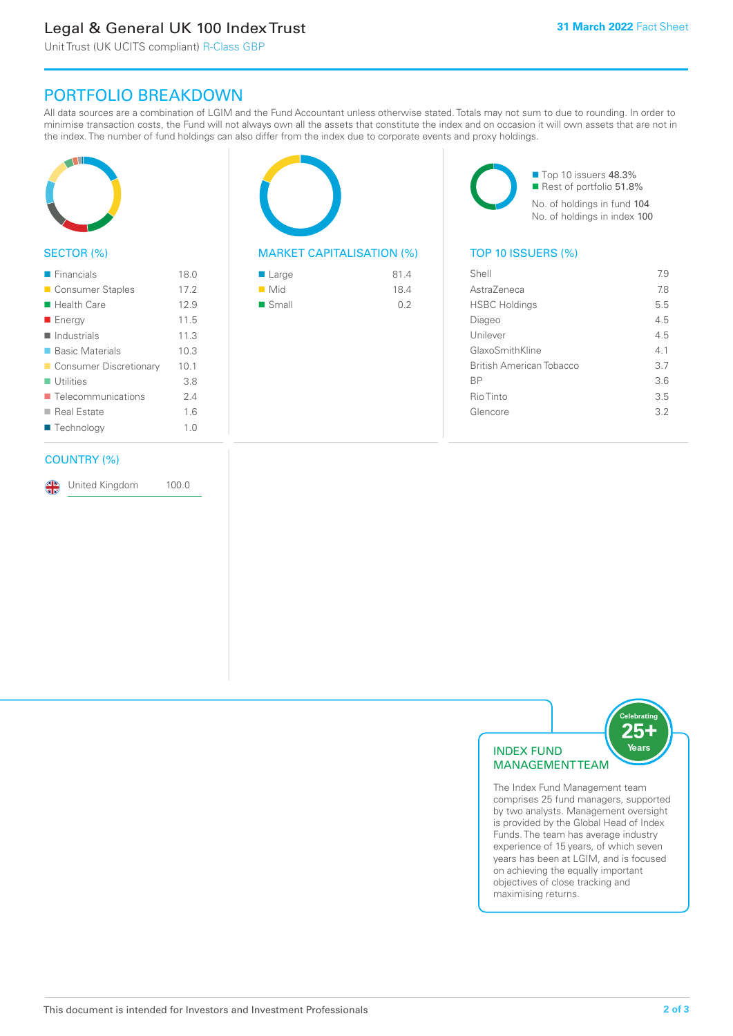# Legal & General UK 100 Index Trust

Unit Trust (UK UCITS compliant) R-Class GBP

## PORTFOLIO BREAKDOWN

All data sources are a combination of LGIM and the Fund Accountant unless otherwise stated. Totals may not sum to due to rounding. In order to minimise transaction costs, the Fund will not always own all the assets that constitute the index and on occasion it will own assets that are not in the index. The number of fund holdings can also differ from the index due to corporate events and proxy holdings.



#### SECTOR (%)

| $\blacksquare$ Financials         | 18.0 |
|-----------------------------------|------|
| ■ Consumer Staples                | 17.2 |
| ■ Health Care                     | 12.9 |
| ■ Energy                          | 11.5 |
| $\blacksquare$ Industrials        | 11.3 |
| ■ Basic Materials                 | 10.3 |
| Consumer Discretionary            | 10.1 |
| $\blacksquare$ Utilities          | 3.8  |
| $\blacksquare$ Telecommunications | 2.4  |
| ■ Real Estate                     | 1.6  |
| ■ Technology                      | 1.0  |
|                                   |      |

#### COUNTRY (%)

United Kingdom 100.0

#### MARKET CAPITALISATION (%) TOP 10 ISSUERS (%)

| ■ Large              | 81.4 |
|----------------------|------|
| $\blacksquare$ Mid   | 18.4 |
| $\blacksquare$ Small | 0.2  |

■ Top 10 issuers 48.3% Rest of portfolio 51.8% No. of holdings in fund 104 No. of holdings in index 100

| Shell                           | 7.9 |
|---------------------------------|-----|
| AstraZeneca                     | 78  |
| <b>HSBC Holdings</b>            | 5.5 |
| Diageo                          | 4.5 |
| Unilever                        | 4.5 |
| GlaxoSmithKline                 | 41  |
| <b>British American Tobacco</b> | 3.7 |
| <b>BP</b>                       | 3.6 |
| Rio Tinto                       | 3.5 |
| Glencore                        | 32  |
|                                 |     |



The Index Fund Management team comprises 25 fund managers, supported by two analysts. Management oversight is provided by the Global Head of Index Funds. The team has average industry experience of 15 years, of which seven years has been at LGIM, and is focused on achieving the equally important objectives of close tracking and maximising returns.